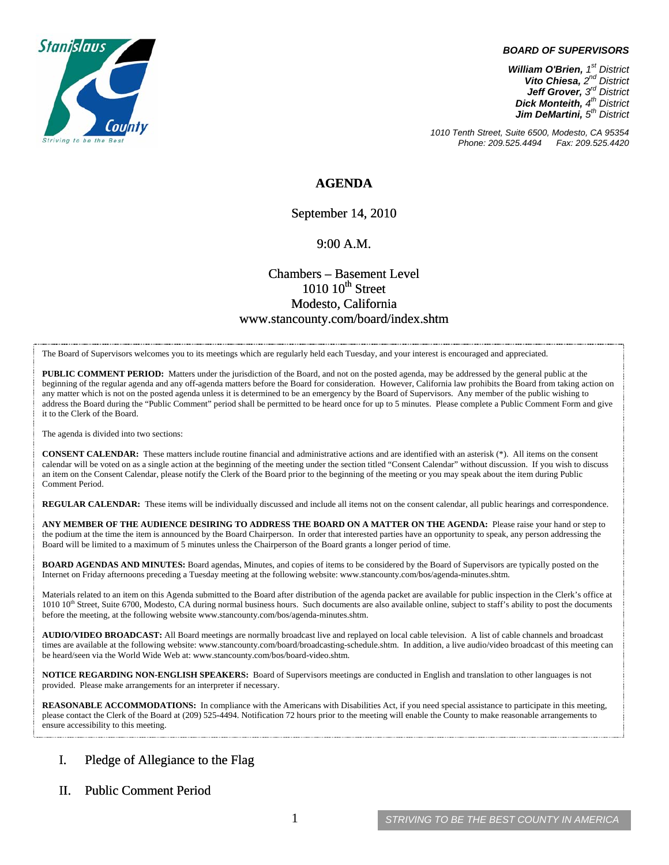

#### *BOARD OF SUPERVISORS*

*William O'Brien, 1st District Vito Chiesa, 2nd District Jeff Grover, 3rd District Dick Monteith, 4th District Jim DeMartini, 5th District*

*1010 Tenth Street, Suite 6500, Modesto, CA 95354 Phone: 209.525.4494 Fax: 209.525.4420* 

#### **AGENDA**

September 14, 2010

#### 9:00 A.M.

## Chambers – Basement Level  $1010~10$ <sup>th</sup> Street Modesto, California www.stancounty.com/board/index.shtm

The Board of Supervisors welcomes you to its meetings which are regularly held each Tuesday, and your interest is encouraged and appreciated.

**PUBLIC COMMENT PERIOD:** Matters under the jurisdiction of the Board, and not on the posted agenda, may be addressed by the general public at the beginning of the regular agenda and any off-agenda matters before the Board for consideration. However, California law prohibits the Board from taking action on any matter which is not on the posted agenda unless it is determined to be an emergency by the Board of Supervisors. Any member of the public wishing to address the Board during the "Public Comment" period shall be permitted to be heard once for up to 5 minutes. Please complete a Public Comment Form and give it to the Clerk of the Board.

The agenda is divided into two sections:

**CONSENT CALENDAR:** These matters include routine financial and administrative actions and are identified with an asterisk (\*). All items on the consent calendar will be voted on as a single action at the beginning of the meeting under the section titled "Consent Calendar" without discussion. If you wish to discuss an item on the Consent Calendar, please notify the Clerk of the Board prior to the beginning of the meeting or you may speak about the item during Public Comment Period.

**REGULAR CALENDAR:** These items will be individually discussed and include all items not on the consent calendar, all public hearings and correspondence.

**ANY MEMBER OF THE AUDIENCE DESIRING TO ADDRESS THE BOARD ON A MATTER ON THE AGENDA:** Please raise your hand or step to the podium at the time the item is announced by the Board Chairperson. In order that interested parties have an opportunity to speak, any person addressing the Board will be limited to a maximum of 5 minutes unless the Chairperson of the Board grants a longer period of time.

**BOARD AGENDAS AND MINUTES:** Board agendas, Minutes, and copies of items to be considered by the Board of Supervisors are typically posted on the Internet on Friday afternoons preceding a Tuesday meeting at the following website: www.stancounty.com/bos/agenda-minutes.shtm.

Materials related to an item on this Agenda submitted to the Board after distribution of the agenda packet are available for public inspection in the Clerk's office at 1010 10<sup>th</sup> Street, Suite 6700, Modesto, CA during normal business hours. Such documents are also available online, subject to staff's ability to post the documents before the meeting, at the following website www.stancounty.com/bos/agenda-minutes.shtm.

**AUDIO/VIDEO BROADCAST:** All Board meetings are normally broadcast live and replayed on local cable television. A list of cable channels and broadcast times are available at the following website: www.stancounty.com/board/broadcasting-schedule.shtm. In addition, a live audio/video broadcast of this meeting can be heard/seen via the World Wide Web at: www.stancounty.com/bos/board-video.shtm.

**NOTICE REGARDING NON-ENGLISH SPEAKERS:** Board of Supervisors meetings are conducted in English and translation to other languages is not provided. Please make arrangements for an interpreter if necessary.

**REASONABLE ACCOMMODATIONS:** In compliance with the Americans with Disabilities Act, if you need special assistance to participate in this meeting, please contact the Clerk of the Board at (209) 525-4494. Notification 72 hours prior to the meeting will enable the County to make reasonable arrangements to ensure accessibility to this meeting.

### I. Pledge of Allegiance to the Flag

#### II. Public Comment Period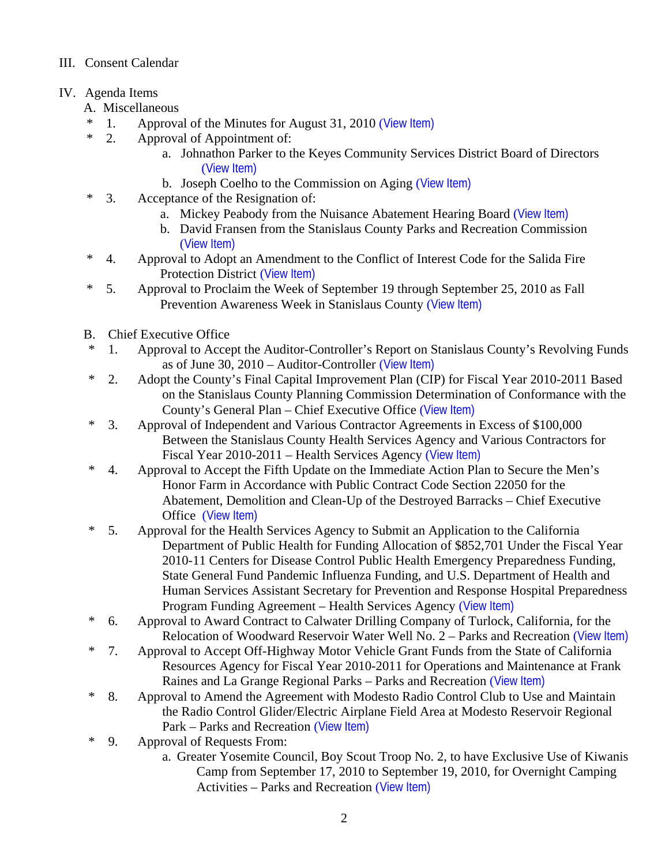## III. Consent Calendar

# IV. Agenda Items

- A. Miscellaneous
- \* 1. Approval of the Minutes for August 31, 2010 ([View Item\)](http://www.stancounty.com/bos/minutes/2010/min08-31-10.pdf)
- \* 2. Approval of Appointment of:
	- a. Johnathon Parker to the Keyes Community Services District Board of Directors ([View Item\)](http://www.stancounty.com/bos/agenda/2010/20100914/A02a.pdf)
	- b. Joseph Coelho to the Commission on Aging ([View Item\)](http://www.stancounty.com/bos/agenda/2010/20100914/A02b.pdf)
- \* 3. Acceptance of the Resignation of:
	- a. Mickey Peabody from the Nuisance Abatement Hearing Board ([View Item\)](http://www.stancounty.com/bos/agenda/2010/20100914/A03a.pdf)
	- b. David Fransen from the Stanislaus County Parks and Recreation Commission ([View Item\)](http://www.stancounty.com/bos/agenda/2010/20100914/A03b.pdf)
- \* 4. Approval to Adopt an Amendment to the Conflict of Interest Code for the Salida Fire Protection District ([View Item\)](http://www.stancounty.com/bos/agenda/2010/20100914/A04.pdf)
- \* 5. Approval to Proclaim the Week of September 19 through September 25, 2010 as Fall Prevention Awareness Week in Stanislaus County ([View Item\)](http://www.stancounty.com/bos/agenda/2010/20100914/A05.pdf)
- B. Chief Executive Office
- \* 1. Approval to Accept the Auditor-Controller's Report on Stanislaus County's Revolving Funds as of June 30, 2010 – Auditor-Controller ([View Item\)](http://www.stancounty.com/bos/agenda/2010/20100914/B01.pdf)
- \* 2. Adopt the County's Final Capital Improvement Plan (CIP) for Fiscal Year 2010-2011 Based on the Stanislaus County Planning Commission Determination of Conformance with the County's General Plan – Chief Executive Office ([View Item\)](http://www.stancounty.com/bos/agenda/2010/20100914/B02.pdf)
- \* 3. Approval of Independent and Various Contractor Agreements in Excess of \$100,000 Between the Stanislaus County Health Services Agency and Various Contractors for Fiscal Year 2010-2011 – Health Services Agency ([View Item\)](http://www.stancounty.com/bos/agenda/2010/20100914/B03.pdf)
- \* 4. Approval to Accept the Fifth Update on the Immediate Action Plan to Secure the Men's Honor Farm in Accordance with Public Contract Code Section 22050 for the Abatement, Demolition and Clean-Up of the Destroyed Barracks – Chief Executive Office ([View Item\)](http://www.stancounty.com/bos/agenda/2010/20100914/B04.pdf)
- \* 5. Approval for the Health Services Agency to Submit an Application to the California Department of Public Health for Funding Allocation of \$852,701 Under the Fiscal Year 2010-11 Centers for Disease Control Public Health Emergency Preparedness Funding, State General Fund Pandemic Influenza Funding, and U.S. Department of Health and Human Services Assistant Secretary for Prevention and Response Hospital Preparedness Program Funding Agreement – Health Services Agency ([View Item\)](http://www.stancounty.com/bos/agenda/2010/20100914/B05.pdf)
- \* 6. Approval to Award Contract to Calwater Drilling Company of Turlock, California, for the Relocation of Woodward Reservoir Water Well No. 2 – Parks and Recreation ([View Item\)](http://www.stancounty.com/bos/agenda/2010/20100914/B06.pdf)
- \* 7. Approval to Accept Off-Highway Motor Vehicle Grant Funds from the State of California Resources Agency for Fiscal Year 2010-2011 for Operations and Maintenance at Frank Raines and La Grange Regional Parks – Parks and Recreation ([View Item\)](http://www.stancounty.com/bos/agenda/2010/20100914/B07.pdf)
- \* 8. Approval to Amend the Agreement with Modesto Radio Control Club to Use and Maintain the Radio Control Glider/Electric Airplane Field Area at Modesto Reservoir Regional Park – Parks and Recreation ([View Item\)](http://www.stancounty.com/bos/agenda/2010/20100914/B08.pdf)
- \* 9. Approval of Requests From:
	- a. Greater Yosemite Council, Boy Scout Troop No. 2, to have Exclusive Use of Kiwanis Camp from September 17, 2010 to September 19, 2010, for Overnight Camping Activities – Parks and Recreation ([View Item\)](http://www.stancounty.com/bos/agenda/2010/20100914/B09a.pdf)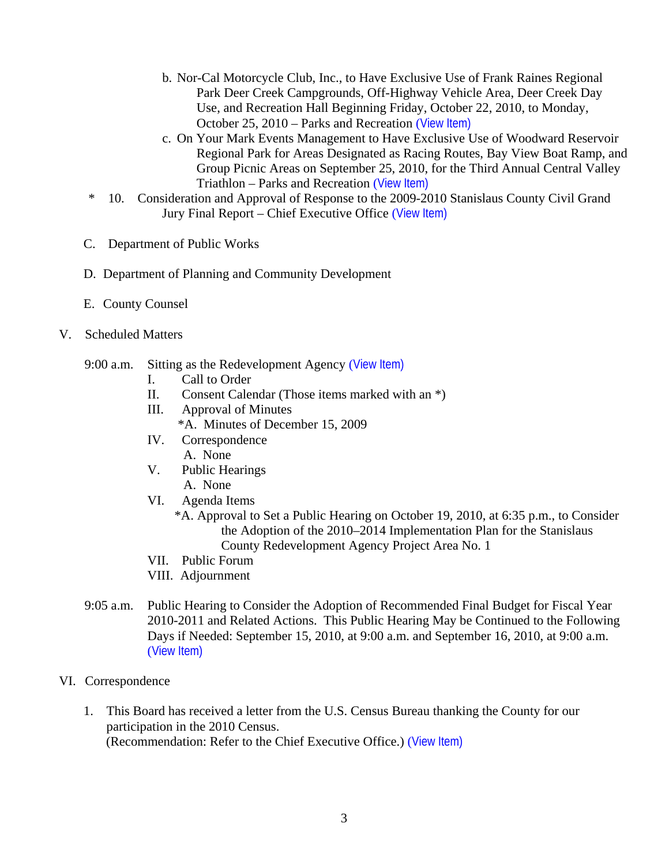- b. Nor-Cal Motorcycle Club, Inc., to Have Exclusive Use of Frank Raines Regional Park Deer Creek Campgrounds, Off-Highway Vehicle Area, Deer Creek Day Use, and Recreation Hall Beginning Friday, October 22, 2010, to Monday, October 25, 2010 – Parks and Recreation ([View Item\)](http://www.stancounty.com/bos/agenda/2010/20100914/B09b.pdf)
- c. On Your Mark Events Management to Have Exclusive Use of Woodward Reservoir Regional Park for Areas Designated as Racing Routes, Bay View Boat Ramp, and Group Picnic Areas on September 25, 2010, for the Third Annual Central Valley Triathlon – Parks and Recreation ([View Item\)](http://www.stancounty.com/bos/agenda/2010/20100914/B09c.pdf)
- \* 10. Consideration and Approval of Response to the 2009-2010 Stanislaus County Civil Grand Jury Final Report – Chief Executive Office ([View Item\)](http://www.stancounty.com/bos/agenda/2010/20100914/B10.pdf)
- C. Department of Public Works
- D. Department of Planning and Community Development
- E. County Counsel
- V. Scheduled Matters

### 9:00 a.m. Sitting as the Redevelopment Agency ([View Item\)](http://www.stancounty.com/bos/agenda/2010/20100914/PH900.pdf)

- I. Call to Order
- II. Consent Calendar (Those items marked with an \*)
- III. Approval of Minutes
	- \*A. Minutes of December 15, 2009
- IV. Correspondence A. None<br>V. Public Hearings
- A. None VI. Agenda Items
- - \*A. Approval to Set a Public Hearing on October 19, 2010, at 6:35 p.m., to Consider the Adoption of the 2010–2014 Implementation Plan for the Stanislaus County Redevelopment Agency Project Area No. 1
- VII. Public Forum
- VIII. Adjournment
- 9:05 a.m. Public Hearing to Consider the Adoption of Recommended Final Budget for Fiscal Year 2010-2011 and Related Actions. This Public Hearing May be Continued to the Following Days if Needed: September 15, 2010, at 9:00 a.m. and September 16, 2010, at 9:00 a.m. ([View Item\)](http://www.stancounty.com/bos/agenda/2010/20100914/PH905.pdf)
- VI. Correspondence
	- 1. This Board has received a letter from the U.S. Census Bureau thanking the County for our participation in the 2010 Census. (Recommendation: Refer to the Chief Executive Office.) ([View Item\)](http://www.stancounty.com/bos/agenda/2010/20100914/Corr01.pdf)